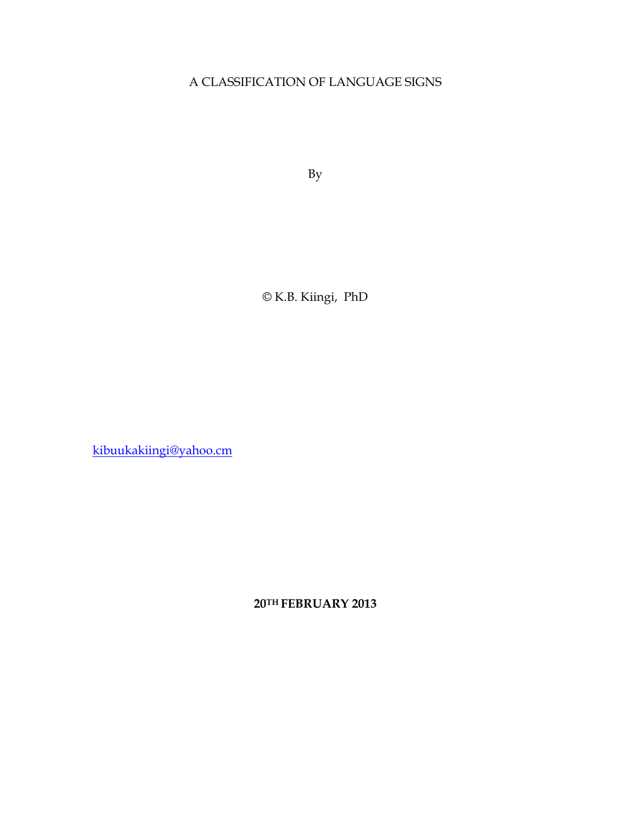## A CLASSIFICATION OF LANGUAGE SIGNS

By

© K.B. Kiingi, PhD

kibuukakiingi@yahoo.cm

**20TH FEBRUARY 2013**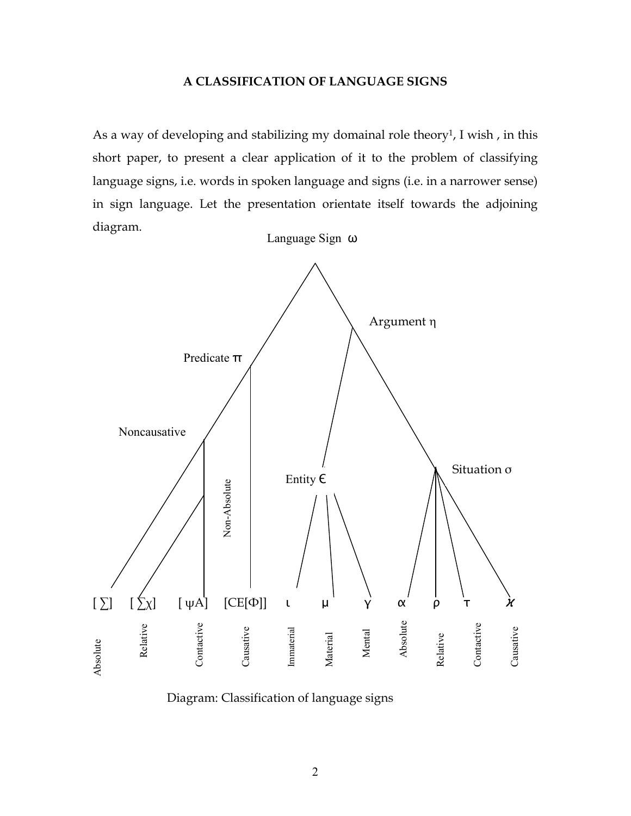## **A CLASSIFICATION OF LANGUAGE SIGNS**

As a way of developing and stabilizing my domainal role theory<sup>1</sup>, I wish, in this short paper, to present a clear application of it to the problem of classifying language signs, i.e. words in spoken language and signs (i.e. in a narrower sense) in sign language. Let the presentation orientate itself towards the adjoining diagram.



Diagram: Classification of language signs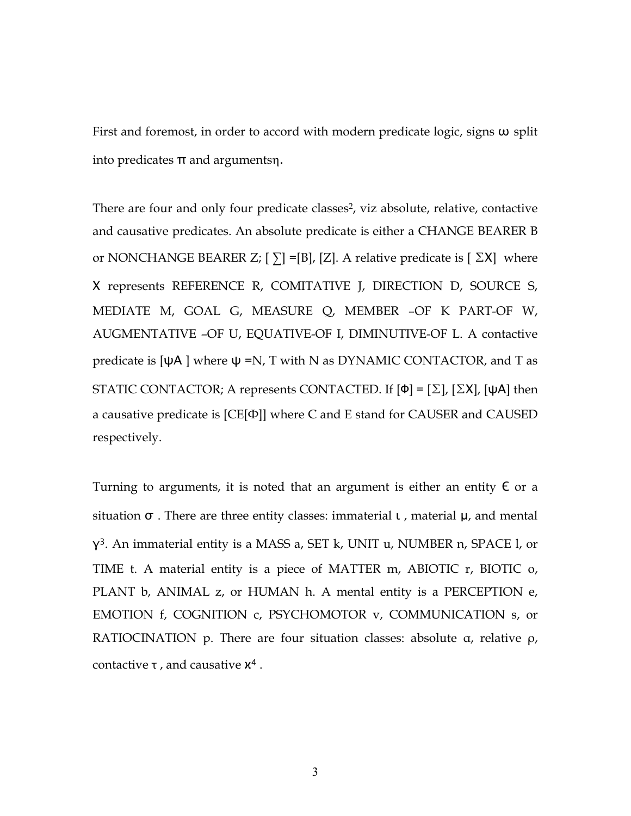First and foremost, in order to accord with modern predicate logic, signs  $\omega$  split into predicates  $π$  and argumentsη.

There are four and only four predicate classes<sup>2</sup>, viz absolute, relative, contactive and causative predicates. An absolute predicate is either a CHANGE BEARER B or NONCHANGE BEARER Z; [ $\Sigma$ ] =[B], [Z]. A relative predicate is [ $\Sigma$ X] where Χ represents REFERENCE R, COMITATIVE J, DIRECTION D, SOURCE S, MEDIATE M, GOAL G, MEASURE Q, MEMBER –OF K PART-OF W, AUGMENTATIVE –OF U, EQUATIVE-OF I, DIMINUTIVE-OF L. A contactive predicate is  $[\Psi A]$  where  $\Psi = N$ , T with N as DYNAMIC CONTACTOR, and T as STATIC CONTACTOR; A represents CONTACTED. If  $[Φ] = [Σ]$ ,  $[ΣX]$ ,  $[ψA]$  then a causative predicate is [CE[Ф]] where C and E stand for CAUSER and CAUSED respectively.

Turning to arguments, it is noted that an argument is either an entity  $\epsilon$  or a situation  $\sigma$ . There are three entity classes: immaterial  $\iota$ , material  $\mu$ , and mental γ<sup>3</sup>. An immaterial entity is a MASS a, SET k, UNIT u, NUMBER n, SPACE l, or TIME t. A material entity is a piece of MATTER m, ABIOTIC r, BIOTIC o, PLANT b, ANIMAL z, or HUMAN h. A mental entity is a PERCEPTION e, EMOTION f, COGNITION c, PSYCHOMOTOR v, COMMUNICATION s, or RATIOCINATION p. There are four situation classes: absolute α, relative ρ, contactive  $\tau$ , and causative  $\chi^4$ .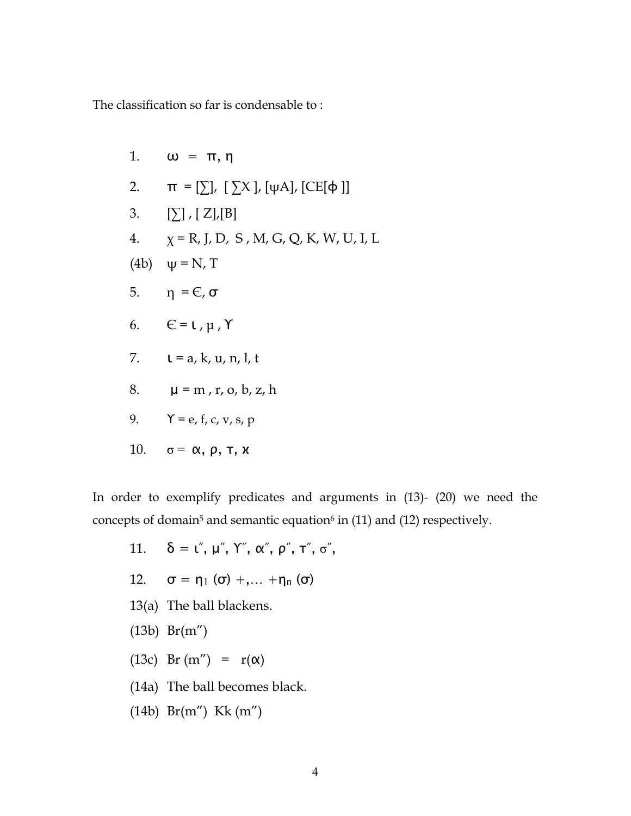The classification so far is condensable to :

1. 
$$
\omega = \pi, \eta
$$
  
\n2.  $\pi = [\sum], [\sum X], [\psi A], [CE[\phi]]$   
\n3.  $[\sum], [Z], [B]$   
\n4.  $\chi = R, J, D, S, M, G, Q, K, W, U, I, L$   
\n(4b)  $\psi = N, T$   
\n5.  $\eta = \mathsf{C}, \sigma$   
\n6.  $\mathsf{C} = \mathsf{L}, \mu, \Upsilon$   
\n7.  $\mathsf{L} = a, k, u, n, l, t$   
\n8.  $\mu = m, r, o, b, z, h$   
\n9.  $\Upsilon = e, f, c, v, s, p$   
\n10.  $\sigma = \alpha, \rho, \tau, \chi$ 

In order to exemplify predicates and arguments in (13)- (20) we need the concepts of domain<sup>5</sup> and semantic equation<sup>6</sup> in (11) and (12) respectively.

11. 
$$
\delta = \iota''
$$
,  $\mu''$ ,  $\Upsilon''$ ,  $\alpha''$ ,  $\rho''$ ,  $\tau''$ ,  $\sigma''$ ,

- 12.  $\sigma = \eta_1 (\sigma) + ... + \eta_n (\sigma)$
- 13(a) The ball blackens.
- (13b) Br(m")
- (13c) Br (m'') =  $r(\alpha)$
- (14a) The ball becomes black.
- (14b) Br(m") Kk (m")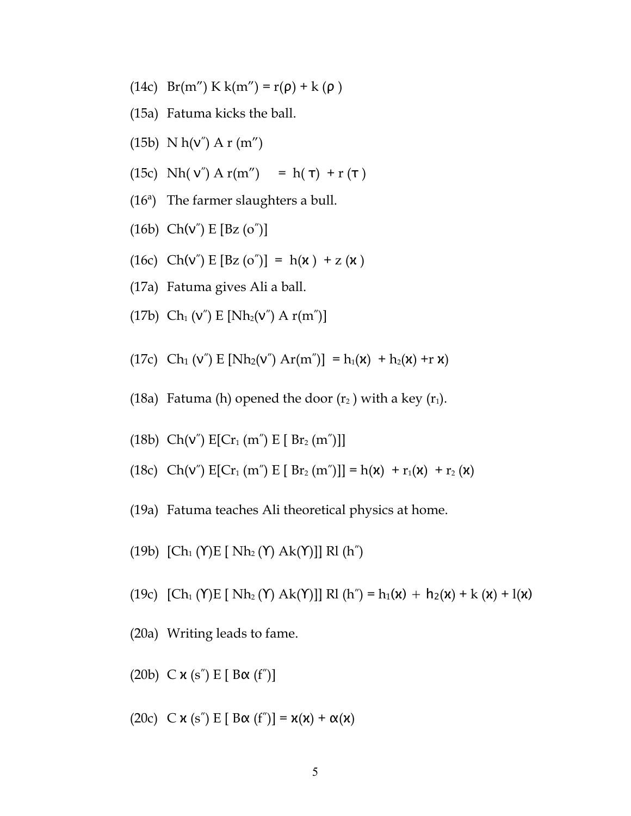- (14c)  $Br(m'') K k(m'') = r(\rho) + k(\rho)$
- (15a) Fatuma kicks the ball.
- (15b)  $N h(v'')$  A r (m")
- (15c) Nh( v") A r(m") = h(  $\tau$ ) + r ( $\tau$ )
- (16ª) The farmer slaughters a bull.
- (16b)  $Ch(v'') E [Bz (o'')]$
- (16c) Ch(v") E  $[{\rm Bz} (o'')] = h(x) + z(x)$
- (17a) Fatuma gives Ali a ball.
- (17b) Ch<sub>1</sub> (v'') E [Nh<sub>2</sub>(v'') A r(m'')]
- (17c) Ch<sub>1</sub> (ν'') E [Nh<sub>2</sub>(ν'') Ar(m'')] = h<sub>1</sub>(**x**) + h<sub>2</sub>(**x**) +r **x**)
- (18a) Fatuma (h) opened the door  $(r_2)$  with a key  $(r_1)$ .
- (18b)  $Ch(V'') E[Cr_1(m'') E [ Br_2(m'')] ]$
- (18c) Ch(v")  $E[Cr_1(m'') E [ Br_2(m'')] = h(x) + r_1(x) + r_2(x)$
- (19a) Fatuma teaches Ali theoretical physics at home.
- (19b)  $[Ch_1(Y)E[Nh_2(Y) Ak(Y)]]RI(h'')$
- (19c)  $[Ch_1(Y)E[Nh_2(Y) Ak(Y)]]Rl(h'') = h_1(\mathbf{x}) + h_2(\mathbf{x}) + k(\mathbf{x}) + l(\mathbf{x})$
- (20a) Writing leads to fame.
- (20b) C  $\times$  (s") E [ B $\alpha$  (f")]
- (20c) C  $\mathsf{x}$  (s") E [ B $\alpha$  (f")] =  $\mathsf{x}(\mathsf{x}) + \alpha(\mathsf{x})$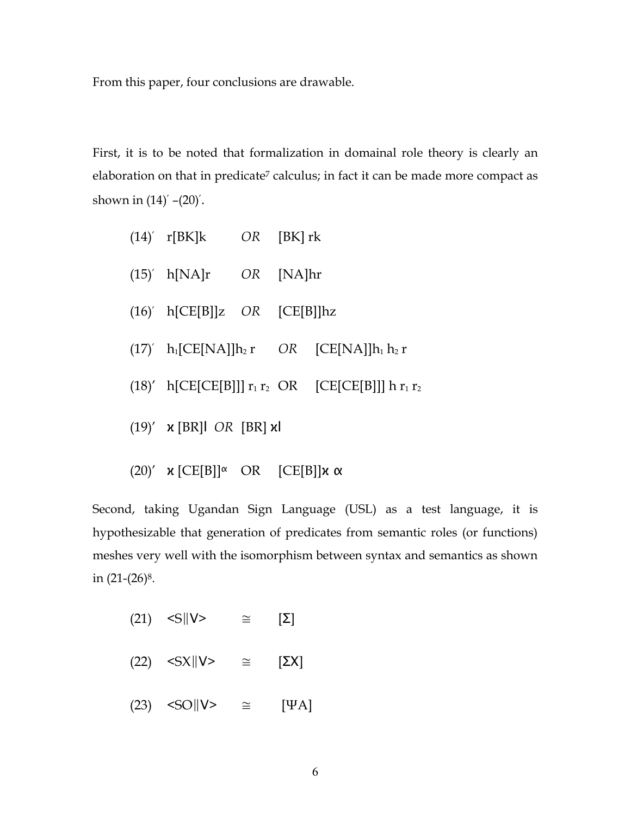From this paper, four conclusions are drawable.

First, it is to be noted that formalization in domainal role theory is clearly an elaboration on that in predicate<sup>7</sup> calculus; in fact it can be made more compact as shown in (14)′ –(20)′.

|  | $(14)'$ r[BK]k OR [BK] rk         |  |                                                                 |
|--|-----------------------------------|--|-----------------------------------------------------------------|
|  | $(15)'$ h[NA]r OR [NA]hr          |  |                                                                 |
|  | $(16)'$ h[CE[B]]z OR [CE[B]] $hz$ |  |                                                                 |
|  |                                   |  | $(17)'$ h <sub>1</sub> [CE[NA]] $h_2 r$ OR [CE[NA]] $h_1 h_2 r$ |
|  |                                   |  | $(18)'$ h[CE[CE[B]]] $r_1 r_2$ OR [CE[CE[B]]] h $r_1 r_2$       |
|  | $(19)'$ x [BR]l OR [BR] xl        |  |                                                                 |
|  |                                   |  |                                                                 |

(20)'  $\mathbf{x}$  [CE[B]] $\alpha$  OR [CE[B]] $\mathbf{x}$   $\alpha$ 

Second, taking Ugandan Sign Language (USL) as a test language, it is hypothesizable that generation of predicates from semantic roles (or functions) meshes very well with the isomorphism between syntax and semantics as shown in  $(21-(26)^8)$ .

- (21) <S $\|V\geq \mathbb{E}\left[\sum_{i=1}^{n} \mathbb{E} \mathbb{E} \mathbb{E} \mathbb{E} \mathbb{E} \mathbb{E} \mathbb{E} \mathbb{E} \mathbb{E} \mathbb{E} \mathbb{E} \mathbb{E} \mathbb{E} \mathbb{E} \mathbb{E} \mathbb{E} \mathbb{E} \mathbb{E} \mathbb{E} \mathbb{E} \mathbb{E} \mathbb{E} \mathbb{E} \mathbb{E} \mathbb{E} \mathbb{E} \mathbb{E} \mathbb{E} \mathbb{E} \mathbb{E} \mathbb{E} \mathbb{$ (22)  $\langle S X || V \rangle$   $\cong$   $[\Sigma X]$
- (23)  $\langle \text{SO} \rangle |V\rangle \cong | \text{WA} |$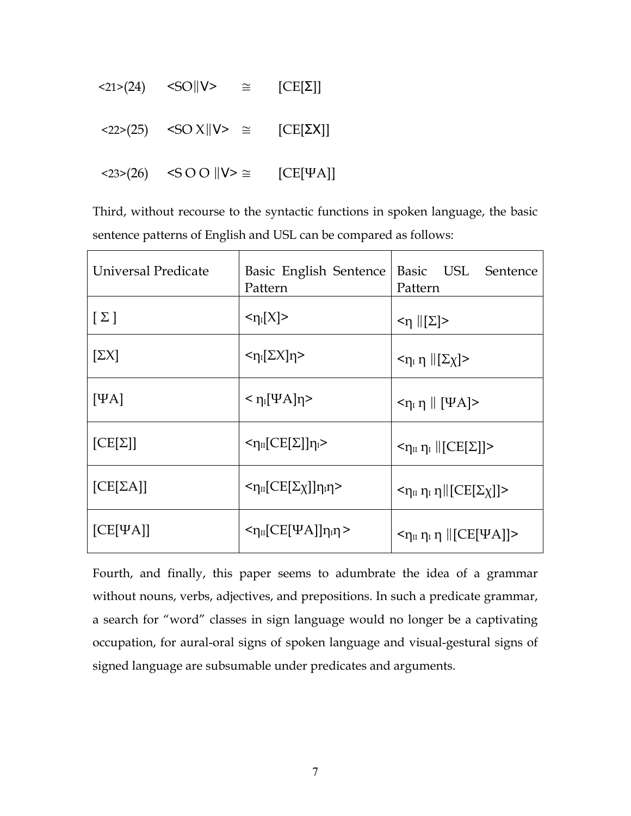| $\langle 21 \rangle (24)$ $\langle SO  V \rangle$                                                            | $\cong$ | $[CE[\Sigma]]$  |
|--------------------------------------------------------------------------------------------------------------|---------|-----------------|
| <22>(25) <so td="" v="" x=""   ="" ≅<="" ≥=""><td></td><td><math>[CE[<math>\Sigma</math>X]]</math></td></so> |         | $[CE[\SigmaX]]$ |
| $\langle 23 \rangle (26)$ $\langle S \text{ OO}    \text{V} \rangle \cong$                                   |         | $[CE[\Psi A]]$  |

Third, without recourse to the syntactic functions in spoken language, the basic sentence patterns of English and USL can be compared as follows:

| Universal Predicate | Basic English Sentence<br>Pattern             | Basic USL Sentence<br>Pattern                                                    |
|---------------------|-----------------------------------------------|----------------------------------------------------------------------------------|
| $[\Sigma]$          | $\langle \eta_I[X]\rangle$                    | $\leq$ η   [Σ]>                                                                  |
| $[\Sigma X]$        | $\langle \eta_I[\Sigma X] \eta \rangle$       | $<\eta$ <sub>I</sub> $\eta$   [ $\Sigma \chi$ ]>                                 |
| $[\Psi A]$          | $<$ η <sub>Ι</sub> [ΨΑ]η>                     | $\langle \eta_{\rm I} \eta \parallel [\Psi A] \rangle$                           |
| $[CE[\Sigma]]$      | $<\eta_{II}[CE[\Sigma]]\eta_{I}>$             | $<\eta_{II} \eta_I$   [CE[ $\Sigma$ ]]>                                          |
| $[CE[\Sigma A]]$    | $<$ η <sub>ιι</sub> [CE[Σχ]]η <sub>ι</sub> η> | $\langle \eta_{\text{II}} \eta_{\text{I}} \eta \rangle$    $[CE[\Sigma \chi]]$ > |
| $[CE[\Psi A]]$      | $<$ η <sub>II</sub> [CE[ΨA]]η <sub>I</sub> η> | $\langle \eta_{II} \eta_I \eta \parallel [CE[\Psi A]] \rangle$                   |

Fourth, and finally, this paper seems to adumbrate the idea of a grammar without nouns, verbs, adjectives, and prepositions. In such a predicate grammar, a search for "word" classes in sign language would no longer be a captivating occupation, for aural-oral signs of spoken language and visual-gestural signs of signed language are subsumable under predicates and arguments.